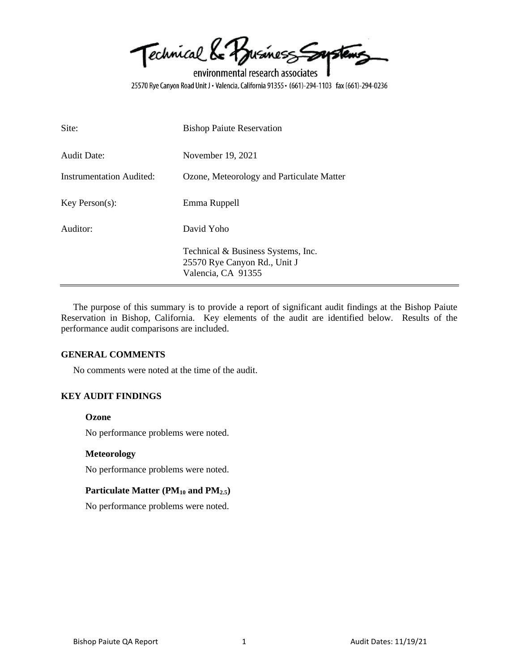Technical & Business Soustems

environmental research associates 25570 Rye Canyon Road Unit J · Valencia, California 91355 · (661)-294-1103 fax (661)-294-0236

| Site:                           | <b>Bishop Paiute Reservation</b>                                                         |
|---------------------------------|------------------------------------------------------------------------------------------|
| <b>Audit Date:</b>              | November 19, 2021                                                                        |
| <b>Instrumentation Audited:</b> | Ozone, Meteorology and Particulate Matter                                                |
| $Key$ Person $(s)$ :            | Emma Ruppell                                                                             |
| Auditor:                        | David Yoho                                                                               |
|                                 | Technical & Business Systems, Inc.<br>25570 Rye Canyon Rd., Unit J<br>Valencia, CA 91355 |

The purpose of this summary is to provide a report of significant audit findings at the Bishop Paiute Reservation in Bishop, California. Key elements of the audit are identified below. Results of the performance audit comparisons are included.

#### **GENERAL COMMENTS**

No comments were noted at the time of the audit.

## **KEY AUDIT FINDINGS**

#### **Ozone**

No performance problems were noted.

#### **Meteorology**

No performance problems were noted.

## **Particulate Matter (PM<sup>10</sup> and PM2.5)**

No performance problems were noted.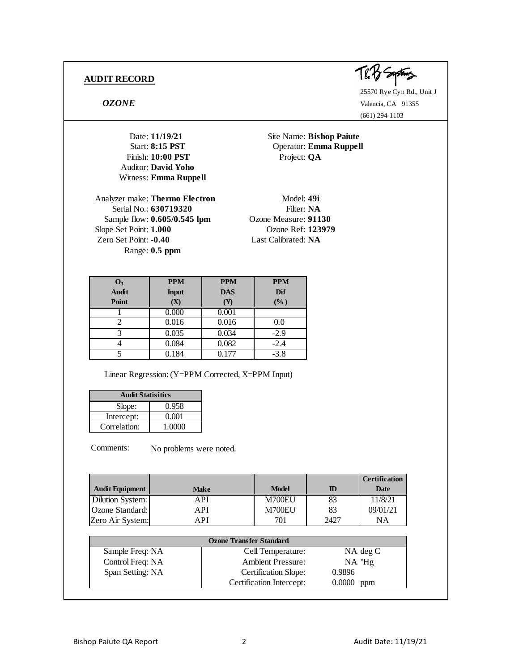

25570 Rye Cyn Rd., Unit J *OZONE* Valencia, CA 91355 (661) 294-1103

Date: **11/19/21** Site Name: **Bishop Paiute** Start: **8:15 PST** Operator: **Emma Ruppell** Date: 11/19/21<br>
Start: 8:15 PST<br>
Finish: 10:00 PST<br>
Finish: 10:00 PST<br>
Project: QA<br>
Luditor: David Yoho

Analyzer make: **Thermo Electron** Model: 49i Serial No.: **630719320** Filter: **NA** Sample flow: **0.605/0.545 lpm** Ozone Measure: **91130** Slope Set Point: **1.000** Ozone Ref: **123979** Zero Set Point: **-0.40** Last Calibrated: **NA** Range: **0.5 ppm**

Auditor: **David Yoho** Witness: **Emma Ruppell**

| O <sub>3</sub> | <b>PPM</b>   | <b>PPM</b> | <b>PPM</b> |
|----------------|--------------|------------|------------|
| <b>Audit</b>   | <b>Input</b> | <b>DAS</b> | Dif        |
| Point          | (X)          | (Y)        | $(\%)$     |
|                | 0.000        | 0.001      |            |
|                | 0.016        | 0.016      | 0.0        |
|                | 0.035        | 0.034      | $-2.9$     |
|                | 0.084        | 0.082      | $-2.4$     |
|                | 0.184        | 0.177      | $-3.8$     |

Linear Regression: (Y=PPM Corrected, X=PPM Input)

| <b>Audit Statisitics</b> |        |  |  |
|--------------------------|--------|--|--|
| 0.958<br>Slope:          |        |  |  |
| Intercept:               | 0.001  |  |  |
| Correlation:             | 1.0000 |  |  |

|                        |             |              |      | <b>Certification</b> |
|------------------------|-------------|--------------|------|----------------------|
| <b>Audit Equipment</b> | <b>Make</b> | <b>Model</b> | ID   | Date                 |
| Dilution System:       | API         | M700EU       | 83   | 11/8/21              |
| Ozone Standard:        | API         | M700EU       | 83   | 09/01/21             |
| Zero Air System:       | API         | 701          | 2427 | NA                   |

| <b>Ozone Transfer Standard</b>                     |                          |              |  |
|----------------------------------------------------|--------------------------|--------------|--|
| Sample Freq: NA                                    | Cell Temperature:        | $NA$ deg $C$ |  |
| Control Freq: NA                                   | <b>Ambient Pressure:</b> | $NA$ "Hg     |  |
| Span Setting: NA<br>Certification Slope:<br>0.9896 |                          |              |  |
| Certification Intercept:<br>0.0000<br>ppm          |                          |              |  |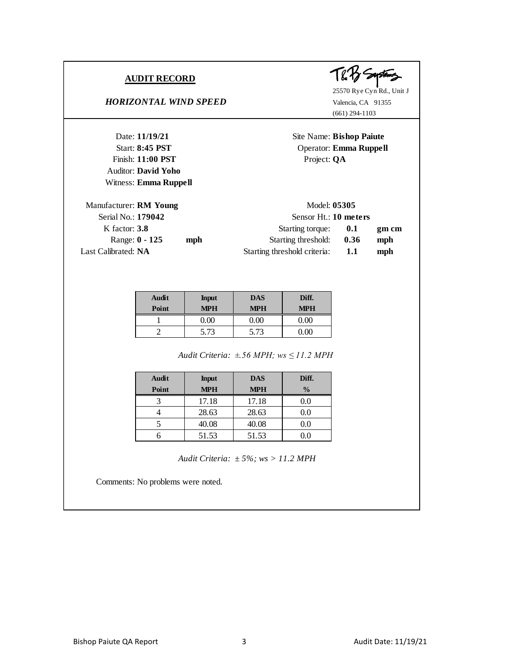#### *HORIZONTAL WIND SPEED* Valencia, CA 91355

25570 Rye Cyn Rd., Unit J (661) 294-1103

Date: **11/19/21** Site Name: **Bishop Paiute** Start: **8:45 PST** Operator: **Emma Ruppell** Date: 11/19/21<br>
Start: 8:45 PST<br>
Finish: 11:00 PST<br>
Project: QA<br>
Mudtor: David Vobo Auditor: **David Yoho** Witness: **Emma Ruppell** Manufacturer: **RM Young** Model: 05305 Serial No.: **179042** Sensor Ht.: **10 meters** K factor: **3.8 CONF Starting torque: <b>0.1 gm cm** Range:  $0 - 125$  **mph 1.36 mph 1.36 mph** Last Calibrated: **NA 1.1 1.1 mph** 

| Audit<br>Point | <b>Input</b><br><b>MPH</b> | <b>DAS</b><br><b>MPH</b> | Diff.<br><b>MPH</b> |
|----------------|----------------------------|--------------------------|---------------------|
|                | 0.00 <sub>1</sub>          |                          | იი                  |
|                | 5.73                       | 5.73                     |                     |

*±.56 MPH; ws ≤ 11.2 MPH Audit Criteria:*

| Audit<br>Point | <b>Input</b><br><b>MPH</b> | <b>DAS</b><br><b>MPH</b> | Diff.<br>$\frac{0}{0}$ |
|----------------|----------------------------|--------------------------|------------------------|
|                | 17.18                      | 17.18                    | $0.0\,$                |
|                | 28.63                      | 28.63                    | 0.0                    |
|                | 40.08                      | 40.08                    | $0.0\,$                |
|                | 51.53                      | 51.53                    | 9.0                    |

*± 5%; ws > 11.2 MPH Audit Criteria:*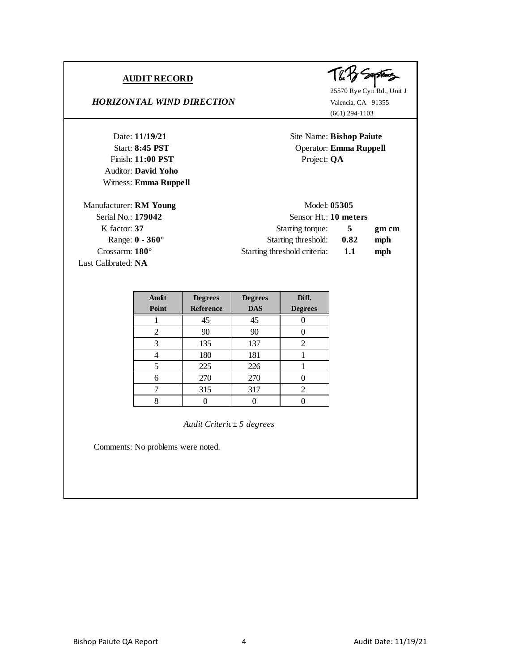Auditor: **David Yoho** Witness: **Emma Ruppell**

# *HORIZONTAL WIND DIRECTION* Valencia, CA 91355



25570 Rye Cyn Rd., Unit J (661) 294-1103

Date: **11/19/21** Site Name: **Bishop Paiute** Start: **8:45 PST** Operator: **Emma Ruppell** Date: 11/19/21<br>
Start: 8:45 PST<br>
Finish: 11:00 PST<br>
Project: QA<br>
Mudtor: David Vobo

| Manufacturer: RM Young | Model: 05305                 |      |       |
|------------------------|------------------------------|------|-------|
| Serial No.: 179042     | Sensor Ht.: 10 meters        |      |       |
| K factor: 37           | Starting torque:             | 5    | gm cm |
| Range: $0 - 360^\circ$ | Starting threshold:          | 0.82 | mph   |
| Crossarm: $180^\circ$  | Starting threshold criteria: | 1.1  | mph   |
| Last Calibrated: NA    |                              |      |       |

| <b>Audit</b> | <b>Degrees</b>   | <b>Degrees</b> | Diff.          |
|--------------|------------------|----------------|----------------|
| Point        | <b>Reference</b> | <b>DAS</b>     | <b>Degrees</b> |
|              | 45               | 45             |                |
| 2            | 90               | 90             |                |
| 3            | 135              | 137            | 2              |
|              | 180              | 181            |                |
| 5            | 225              | 226            |                |
| 6            | 270              | 270            |                |
|              | 315              | 317            | 2              |
|              |                  |                |                |

*Audit Criteria: ± 5 degrees*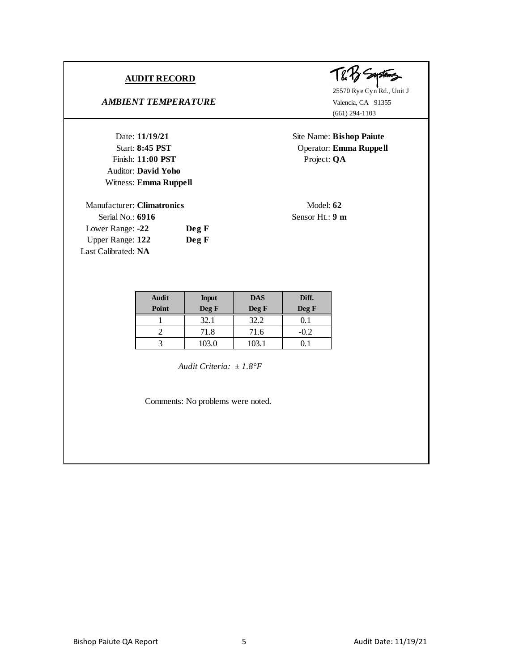# **AMBIENT TEMPERATURE** Valencia, CA 91355

Date: **11/19/21**<br>
Site Name: **Bis**<br>
Start: **8:45 PST**<br>
Project: **QA**<br>
Project: **QA**<br>
Matter: **David Yoho** Auditor: **David Yoho** Witness: **Emma Ruppell** Auditor: **David Yoho**<br>
Witness: **Emma Ruppell**<br>
Manufacturer: **Climatronics**<br>
Serial No: **6916**<br>
Sensor Ht: 9

Serial No.: **6916** Sensor Ht.: **9 m** Lower Range: **-22 Deg F** Upper Range: **122 Deg F** Last Calibrated: **NA**

T& Hy Seystems

25570 Rye Cyn Rd., Unit J (661) 294-1103

Date: **11/19/21** Site Name: **Bishop Paiute** Start: **8:45 PST** Operator: **Emma Ruppell**

| <b>Audit</b> | <b>Input</b> | <b>DAS</b> | Diff.  |
|--------------|--------------|------------|--------|
| Point        | Deg F        | Deg F      | Deg F  |
|              | 32.1         | 32.2       |        |
|              | 71.8         | 71.6       | $-0.2$ |
|              | 103.0        | 103.1      |        |

*± 1.8°F Audit Criteria:*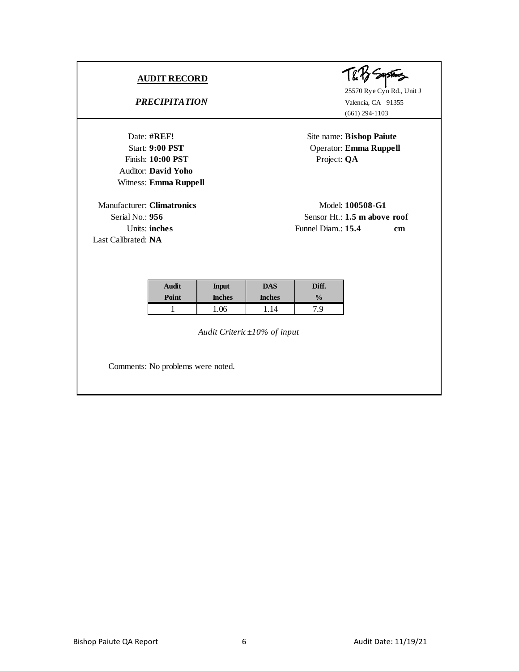*PRECIPITATION* Valencia, CA 91355

Date: #REF!<br>Start: 9:00 PST<br>Finish: 10:00 PST<br>Finish: 10:00 PST<br>Project: QA<br>Auditor: David Vobo Auditor: **David Yoho** Witness: **Emma Ruppell**

Manufacturer: **Climatronics** Model: **100508-G1** Last Calibrated: **NA**

The Bystams

(661) 294-1103

Date: **#REF!** Site name: **Bishop Paiute** Start: **9:00 PST** Operator: **Emma Ruppell**

Serial No.: **956** Sensor Ht.: **1.5 m above roof** Extere: **Climatronics**<br>
Il No.: **956**<br>
Units: **inches**<br>
Units: **inches**<br>
Funnel Diam.: **15.4 cm**<br>
Funnel Diam.: **15.4 cm** 

| Audit | <b>Input</b>  | DAS           | Diff.         |
|-------|---------------|---------------|---------------|
| Point | <b>Inches</b> | <b>Inches</b> | $\frac{0}{0}$ |
|       | .06           |               | 7.9           |

*Audit Criteria: ±10% of input*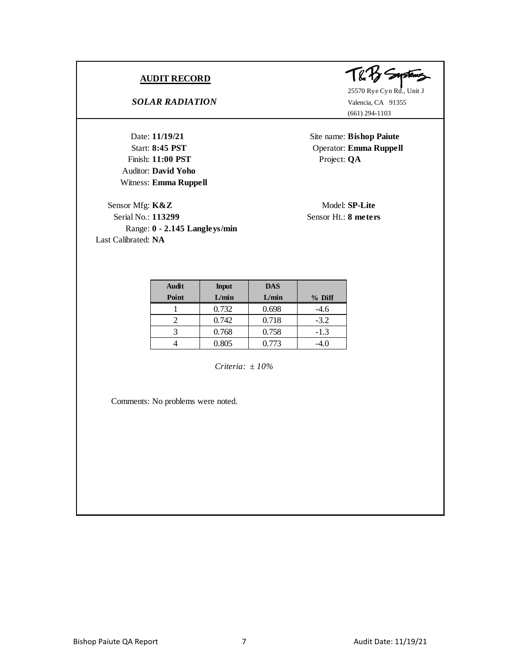# *SOLAR RADIATION* Valencia, CA 91355

Date: **11/19/21**<br>
Start: **8:45 PST**<br>
Finish: **11:00 PST**<br>
Project: **QA**<br>
Project: **QA** Auditor: **David Yoho** Witness: **Emma Ruppell**

Sensor Mfg: **K&Z** Model: **SP-Lite** Serial No.: **113299** Sensor Ht.: **8 meters** Range: **0 - 2.145 Langleys/min** Last Calibrated: **NA**



25570 Rye Cyn Rd., Unit J (661) 294-1103

Date: **11/19/21** Site name: **Bishop Paiute** Start: **8:45 PST** Operator: **Emma Ruppell** 

| Audit | <b>Input</b> | <b>DAS</b> |          |
|-------|--------------|------------|----------|
| Point | L/min        | L/min      | $%$ Diff |
|       | 0.732        | 0.698      | $-4.6$   |
|       | 0.742        | 0.718      | $-3.2$   |
|       | 0.768        | 0.758      | $-1.3$   |
|       | 0.805        | 0.773      | $-4.0$   |

*Criteria: ± 10%*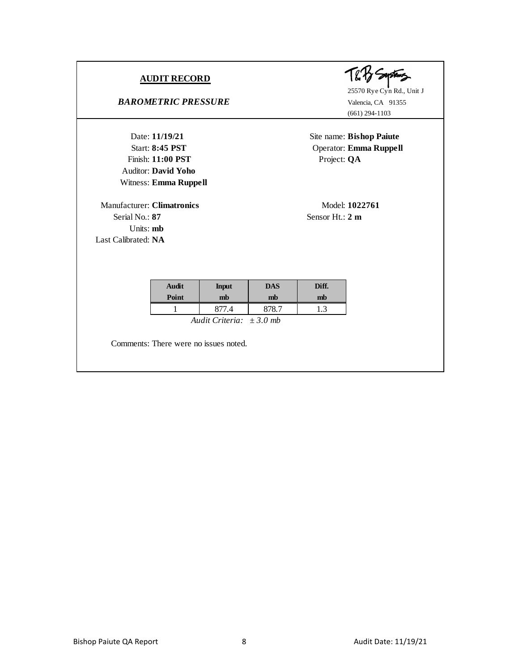**BAROMETRIC PRESSURE** Valencia, CA 91355

Date: **11/19/21**<br>
Start: **8:45 PST**<br>
Finish: **11:00 PST**<br>
Project: **QA**<br>
Project: **QA** Auditor: **David Yoho** Witness: **Emma Ruppell**

Manufacturer: **Climatronics** Model: **1022761** Witness: **Emma Ruppell**<br>
mufacturer: **Climatronics**<br>
Serial No.: 87<br> **Sensor Ht.: 2 m**<br> **Sensor Ht.: 2 m** Units: **mb** Last Calibrated: **NA**



25570 Rye Cyn Rd., Unit J (661) 294-1103

Date: **11/19/21** Site name: **Bishop Paiute** Start: **8:45 PST** Operator: **Emma Ruppell**

| Audit | <b>Input</b>       | <b>DAS</b> | Diff. |
|-------|--------------------|------------|-------|
| Point | mb                 | mb         | mb    |
|       | $^{\cdot \cdot 4}$ |            | 1. J  |

*Audit Criteria: ± 3.0 mb*

Comments: There were no issues noted.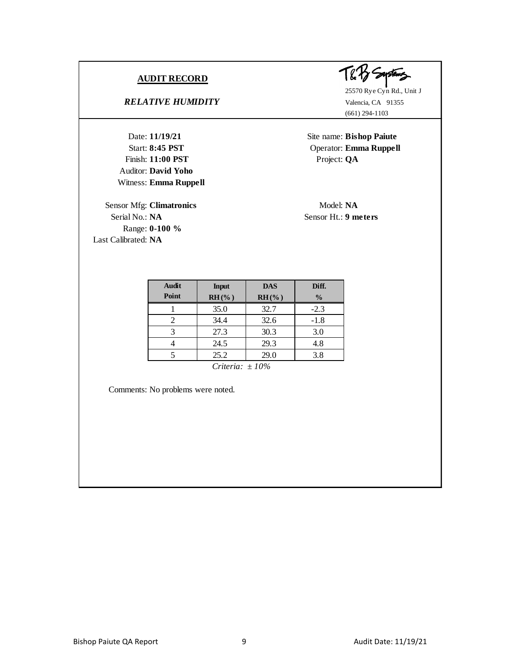*RELATIVE HUMIDITY* Valencia, CA 91355

Date: **11/19/21**<br>
Start: **8:45 PST**<br>
Finish: **11:00 PST**<br>
Project: **QA**<br>
Project: **QA** Auditor: **David Yoho** Witness: **Emma Ruppell 11/19/21**

Sensor Mfg: **Climatronics** Model: NA Serial No.: **NA** Sensor Ht.: **9 meters** Range: **0-100 %** Last Calibrated: **NA**



(661) 294-1103

Site name: **Bishop Paiute** Start: **8:45 PST** Operator: **Emma Ruppell** 

| <b>Audit</b> | <b>Input</b> | <b>DAS</b> | Diff.         |
|--------------|--------------|------------|---------------|
| Point        | $RH$ (%)     | $RH$ (%)   | $\frac{0}{0}$ |
|              | 35.0         | 32.7       | $-2.3$        |
|              | 34.4         | 32.6       | $-1.8$        |
|              | 27.3         | 30.3       | 3.0           |
|              | 24.5         | 29.3       | 4.8           |
|              | 25.2         | 29.0       | 3.8           |

*Criteria: ± 10%*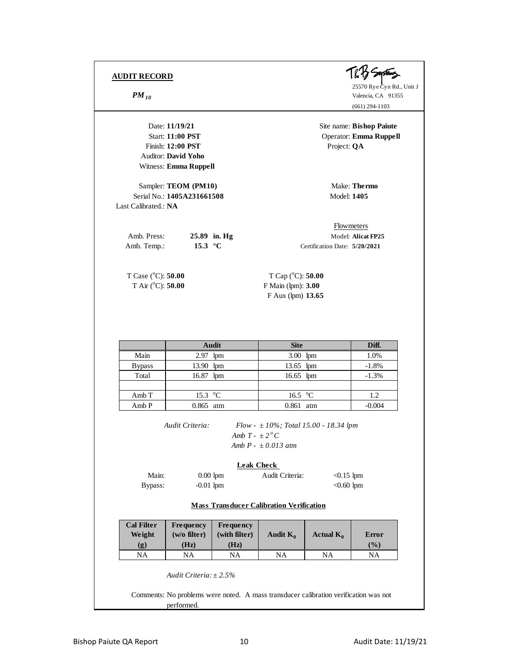

25570 Rye Cyn Rd., Unit J **PM** 10<br> **PM** 10<br> **PM** 25570 Rye Cyn Rd., Valencia, CA 91355 (661) 294-1103

Date: **11/19/21** Site name: **Bishop Paiute** Start: **11:00 PST** Operator: **Emma Ruppell** Date: **11/19/21**<br>
Site name: **Bisl**<br>
Start: **11:00 PST**<br>
Project: **QA**<br>
Project: **QA**<br>
Project: **QA** Auditor: **David Yoho** Witness: **Emma Ruppell** Sampler: **TEOM (PM10)** Make: **Thermo** Serial No.: **1405A231661508** Model: **1405** Last Calibrated.: **NA** Amb. Press: 25.89 in. Hg Model: Alicat FP25 Amb. Temp.: **15.3 °C** Certification Date: **5/20/2021** T Case (°C): **50.00** T Cap (°C): **50.00** T Air (<sup>o</sup>C): **50.00** F Main (lpm): **3.00** F Aux (lpm) **13.65 Site Diff.** Main 2.97 lpm 3.00 lpm 1.0% Bypass 13.90 lpm 13.65 lpm -1.8% Total 16.87 lpm 16.65 lpm -1.3% Amb T | 15.3 °C | 16.5 °C | 1.2 Amb P 0.865 atm 0.861 atm -0.004 *Audit Criteria: Flow - ± 10%; Total 15.00 - 18.34 lpm Amb*  $T - \pm 2^{\circ}C$ *Amb P - ± 0.013 atm* Main: 0.00 lpm Audit Criteria: <0.15 lpm Bypass:  $-0.01$  lpm  $< 0.60$  lpm **Cal Filter Frequency Frequency Weight**  $\vert$  (w/o filter)  $\vert$  (with filter)  $\vert$  Audit  $K_0$   $\vert$  Actual  $K_0$   $\vert$  Error **(g) (Hz) (Hz) (%)** NA | NA | NA | NA | NA *Audit Criteria: ± 2.5%* Flowmeters **Audit Leak Check Mass Transducer Calibration Verification**

performed.

Comments: No problems were noted. A mass transducer calibration verification was not